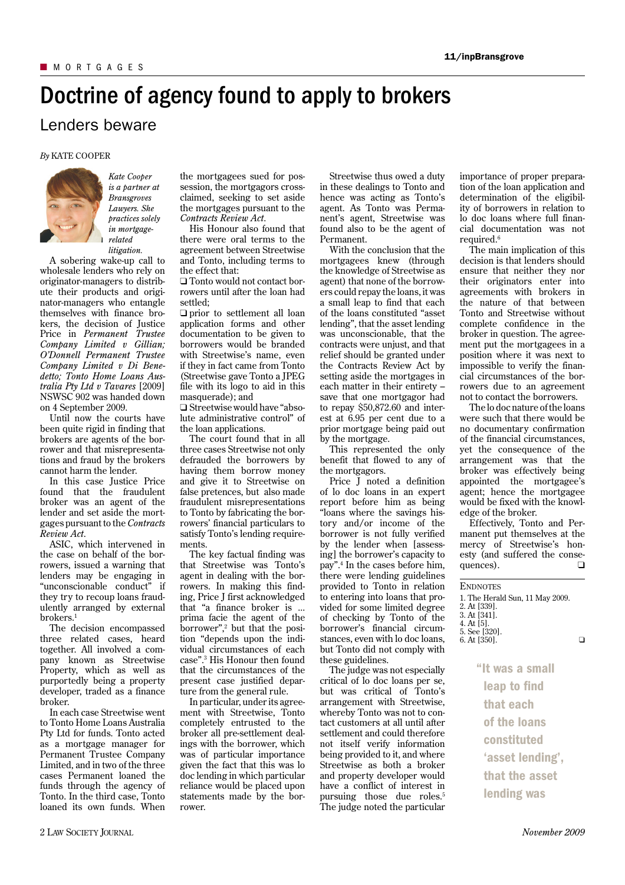## Doctrine of agency found to apply to brokers

## Lenders beware

## *By* KATE COOPER



*Kate Cooper is a partner at Bransgroves Lawyers. She practices solely in mortgagerelated litigation.*

A sobering wake-up call to wholesale lenders who rely on originator-managers to distribute their products and originator-managers who entangle themselves with finance brokers, the decision of Justice Price in *Permanent Trustee Company Limited v Gillian; O'Donnell Permanent Trustee Company Limited v Di Benedetto; Tonto Home Loans Australia Pty Ltd v Tavares* [2009] NSWSC 902 was handed down on 4 September 2009.

Until now the courts have been quite rigid in finding that brokers are agents of the borrower and that misrepresentations and fraud by the brokers cannot harm the lender.

In this case Justice Price found that the fraudulent broker was an agent of the lender and set aside the mortgages pursuant to the *Contracts Review Act*.

ASIC, which intervened in the case on behalf of the borrowers, issued a warning that lenders may be engaging in "unconscionable conduct" if they try to recoup loans fraudulently arranged by external  $b$ rokers<sup>1</sup>

The decision encompassed three related cases, heard together. All involved a company known as Streetwise Property, which as well as purportedly being a property developer, traded as a finance broker.

In each case Streetwise went to Tonto Home Loans Australia Pty Ltd for funds. Tonto acted as a mortgage manager for Permanent Trustee Company Limited, and in two of the three cases Permanent loaned the funds through the agency of Tonto. In the third case, Tonto loaned its own funds. When

the mortgagees sued for possession, the mortgagors crossclaimed, seeking to set aside the mortgages pursuant to the *Contracts Review Act*.

His Honour also found that there were oral terms to the agreement between Streetwise and Tonto, including terms to the effect that:

❑ Tonto would not contact borrowers until after the loan had settled;

❑ prior to settlement all loan application forms and other documentation to be given to borrowers would be branded with Streetwise's name, even if they in fact came from Tonto (Streetwise gave Tonto a JPEG file with its logo to aid in this masquerade); and

❑ Streetwise would have "absolute administrative control" of the loan applications.

The court found that in all three cases Streetwise not only defrauded the borrowers by having them borrow money and give it to Streetwise on false pretences, but also made fraudulent misrepresentations to Tonto by fabricating the borrowers' financial particulars to satisfy Tonto's lending requirements.

The key factual finding was that Streetwise was Tonto's agent in dealing with the borrowers. In making this finding, Price J first acknowledged that "a finance broker is ... prima facie the agent of the borrower",<sup>2</sup> but that the position "depends upon the individual circumstances of each case".<sup>3</sup> His Honour then found that the circumstances of the present case justified departure from the general rule.

In particular, under its agreement with Streetwise, Tonto completely entrusted to the broker all pre-settlement dealings with the borrower, which was of particular importance given the fact that this was lo doc lending in which particular reliance would be placed upon statements made by the borrower.

Streetwise thus owed a duty in these dealings to Tonto and hence was acting as Tonto's agent. As Tonto was Permanent's agent, Streetwise was found also to be the agent of Permanent.

With the conclusion that the mortgagees knew (through the knowledge of Streetwise as agent) that none of the borrowers could repay the loans, it was a small leap to find that each of the loans constituted "asset lending", that the asset lending was unconscionable, that the contracts were unjust, and that relief should be granted under the Contracts Review Act by setting aside the mortgages in each matter in their entirety – save that one mortgagor had to repay \$50,872.60 and interest at 6.95 per cent due to a prior mortgage being paid out by the mortgage.

This represented the only benefit that flowed to any of the mortgagors.

Price J noted a definition of lo doc loans in an expert report before him as being "loans where the savings history and/or income of the borrower is not fully verified by the lender when [assessing] the borrower's capacity to pay".<sup>4</sup> In the cases before him, there were lending guidelines provided to Tonto in relation to entering into loans that provided for some limited degree of checking by Tonto of the borrower's financial circumstances, even with lo doc loans, but Tonto did not comply with these guidelines.

The judge was not especially critical of lo doc loans per se, but was critical of Tonto's arrangement with Streetwise, whereby Tonto was not to contact customers at all until after settlement and could therefore not itself verify information being provided to it, and where Streetwise as both a broker and property developer would have a conflict of interest in pursuing those due roles.<sup>5</sup> The judge noted the particular importance of proper preparation of the loan application and determination of the eligibility of borrowers in relation to lo doc loans where full financial documentation was not required.<sup>6</sup>

The main implication of this decision is that lenders should ensure that neither they nor their originators enter into agreements with brokers in the nature of that between Tonto and Streetwise without complete confidence in the broker in question. The agreement put the mortgagees in a position where it was next to impossible to verify the financial circumstances of the borrowers due to an agreement not to contact the borrowers.

The lo doc nature of the loans were such that there would be no documentary confirmation of the financial circumstances, yet the consequence of the arrangement was that the broker was effectively being appointed the mortgagee's agent; hence the mortgagee would be fixed with the knowledge of the broker.

Effectively, Tonto and Permanent put themselves at the mercy of Streetwise's honesty (and suffered the consequences).  $□$ 

| <b>ENDNOTES</b><br>1. The Herald Sun, 11 May 2009.<br>2. At [339].<br>3. At [341]. |  |
|------------------------------------------------------------------------------------|--|
| 4. At [5].<br>5. See [320].<br>6. At [350].                                        |  |
| "It was a small                                                                    |  |
| leap to find                                                                       |  |
| that each                                                                          |  |
| of the loans                                                                       |  |
| constituted                                                                        |  |
| 'asset lending',                                                                   |  |
|                                                                                    |  |

that the asset lending was